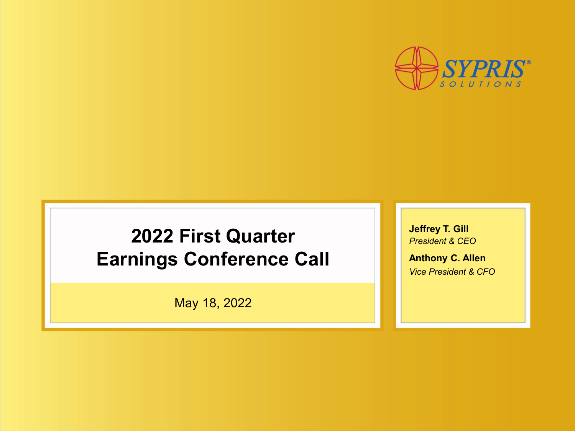

### **2022 First Quarter Earnings Conference Call**

May 18, 2022

**Jeffrey T. Gill** *President & CEO*

**Anthony C. Allen** *Vice President & CFO*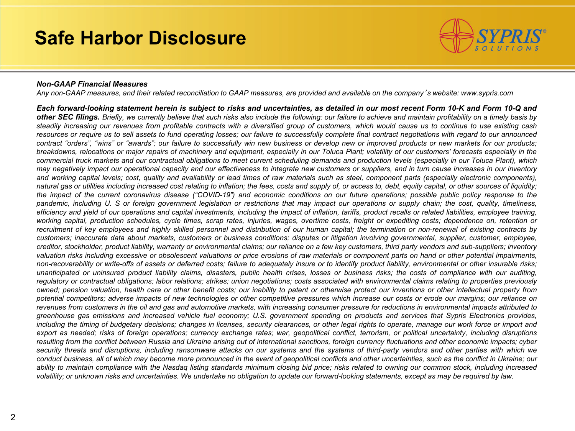#### **Safe Harbor Disclosure**



#### *Non-GAAP Financial Measures*

Any non-GAAP measures, and their related reconciliation to GAAP measures, are provided and available on the company's website: www.sypris.com

Each forward-looking statement herein is subject to risks and uncertainties, as detailed in our most recent Form 10-K and Form 10-Q and other SEC filings. Briefly, we currently believe that such risks also include the following: our failure to achieve and maintain profitability on a timely basis by steadily increasing our revenues from profitable contracts with a diversified group of customers, which would cause us to continue to use existing cash resources or require us to sell assets to fund operating losses; our failure to successfully complete final contract negotiations with regard to our announced contract "orders", "wins" or "awards"; our failure to successfully win new business or develop new or improved products or new markets for our products; breakdowns, relocations or major repairs of machinery and equipment, especially in our Toluca Plant; volatility of our customers' forecasts especially in the commercial truck markets and our contractual obligations to meet current scheduling demands and production levels (especially in our Toluca Plant), which may negatively impact our operational capacity and our effectiveness to integrate new customers or suppliers, and in turn cause increases in our inventory and working capital levels; cost, quality and availability or lead times of raw materials such as steel, component parts (especially electronic components), natural gas or utilities including increased cost relating to inflation; the fees, costs and supply of, or access to, debt, equity capital, or other sources of liquidity; the impact of the current coronavirus disease ("COVID-19") and economic conditions on our future operations; possible public policy response to the pandemic, including U. S or foreign government legislation or restrictions that may impact our operations or supply chain; the cost, quality, timeliness, efficiency and yield of our operations and capital investments, including the impact of inflation, tariffs, product recalls or related liabilities, employee training, working capital, production schedules, cycle times, scrap rates, injuries, wages, overtime costs, freight or expediting costs; dependence on, retention or recruitment of key employees and highly skilled personnel and distribution of our human capital; the termination or non-renewal of existing contracts by customers; inaccurate data about markets, customers or business conditions; disputes or litigation involving governmental, supplier, customer, employee, creditor, stockholder, product liability, warranty or environmental claims; our reliance on a few key customers, third party vendors and sub-suppliers; inventory valuation risks including excessive or obsolescent valuations or price erosions of raw materials or component parts on hand or other potential impairments, non-recoverability or write-offs of assets or deferred costs; failure to adequately insure or to identify product liability, environmental or other insurable risks; unanticipated or uninsured product liability claims, disasters, public health crises, losses or business risks; the costs of compliance with our auditing, regulatory or contractual obligations; labor relations; strikes; union negotiations; costs associated with environmental claims relating to properties previously owned; pension valuation, health care or other benefit costs; our inability to patent or otherwise protect our inventions or other intellectual property from potential competitors; adverse impacts of new technologies or other competitive pressures which increase our costs or erode our margins; our reliance on revenues from customers in the oil and gas and automotive markets, with increasing consumer pressure for reductions in environmental impacts attributed to greenhouse gas emissions and increased vehicle fuel economy; U.S. government spending on products and services that Sypris Electronics provides, including the timing of budgetary decisions; changes in licenses, security clearances, or other legal rights to operate, manage our work force or import and export as needed; risks of foreign operations; currency exchange rates; war, geopolitical conflict, terrorism, or political uncertainty, including disruptions resulting from the conflict between Russia and Ukraine arising out of international sanctions, foreign currency fluctuations and other economic impacts; cyber security threats and disruptions, including ransomware attacks on our systems and the systems of third-party vendors and other parties with which we conduct business, all of which may become more pronounced in the event of geopolitical conflicts and other uncertainties, such as the conflict in Ukraine; our ability to maintain compliance with the Nasdag listing standards minimum closing bid price; risks related to owning our common stock, including increased volatility; or unknown risks and uncertainties. We undertake no obligation to update our forward-looking statements, except as may be required by law.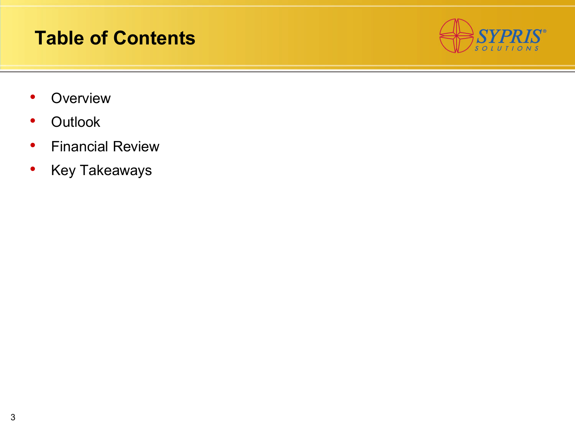### **Table of Contents**



- Overview
- Outlook
- Financial Review
- Key Takeaways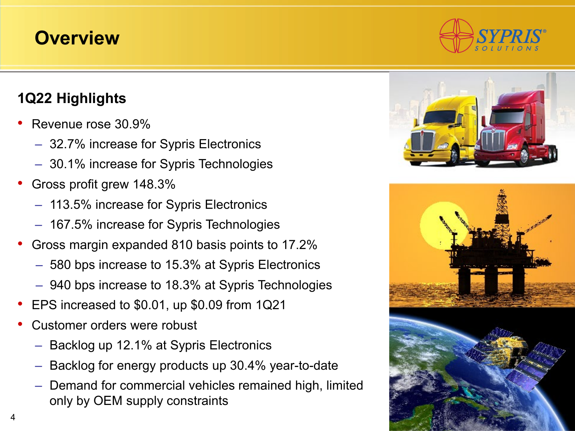#### **Overview**

#### **1Q22 Highlights**

- Revenue rose 30.9%
	- 32.7% increase for Sypris Electronics
	- 30.1% increase for Sypris Technologies
- Gross profit grew 148.3%
	- 113.5% increase for Sypris Electronics
	- 167.5% increase for Sypris Technologies
- Gross margin expanded 810 basis points to 17.2%
	- 580 bps increase to 15.3% at Sypris Electronics
	- 940 bps increase to 18.3% at Sypris Technologies
- EPS increased to \$0.01, up \$0.09 from 1Q21
- Customer orders were robust
	- Backlog up 12.1% at Sypris Electronics
	- Backlog for energy products up 30.4% year-to-date
	- Demand for commercial vehicles remained high, limited only by OEM supply constraints





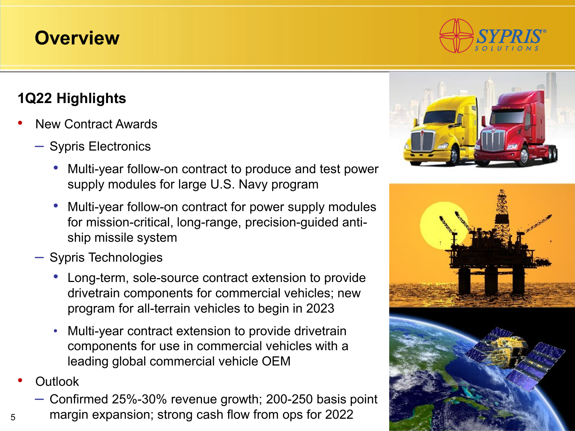#### **Overview**

#### **1Q22 Highlights**

- New Contract Awards
	- Sypris Electronics
		- Multi-year follow-on contract to produce and test power supply modules for large U.S. Navy program
		- Multi-year follow-on contract for power supply modules for mission-critical, long-range, precision-guided antiship missile system
	- Sypris Technologies
		- Long-term, sole-source contract extension to provide drivetrain components for commercial vehicles; new program for all-terrain vehicles to begin in 2023
		- Multi-year contract extension to provide drivetrain components for use in commercial vehicles with a leading global commercial vehicle OEM
- Outlook
	- Confirmed 25%-30% revenue growth; 200-250 basis point
- <sup>5</sup> margin expansion; strong cash flow from ops for 2022



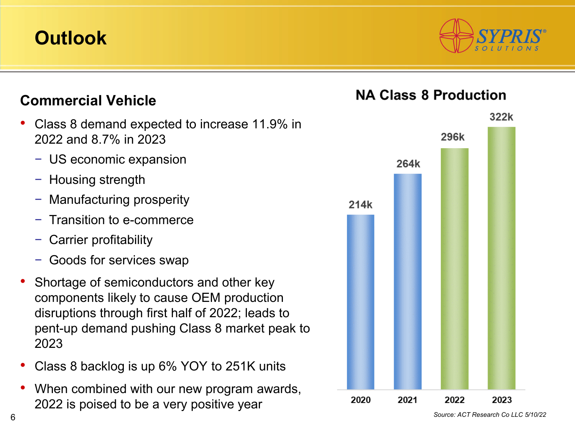

#### **Commercial Vehicle** 322k • Class 8 demand expected to increase 11.9% in 296k 2022 and 8.7% in 2023 − US economic expansion 264k − Housing strength − Manufacturing prosperity 214k − Transition to e-commerce − Carrier profitability Goods for services swap Shortage of semiconductors and other key components likely to cause OEM production disruptions through first half of 2022; leads to pent-up demand pushing Class 8 market peak to 2023 • Class 8 backlog is up 6% YOY to 251K units When combined with our new program awards, 2020 2021 2022 2023 2022 is poised to be a very positive year

**NA Class 8 Production** 

*Source: ACT Research Co LLC 5/10/22*

6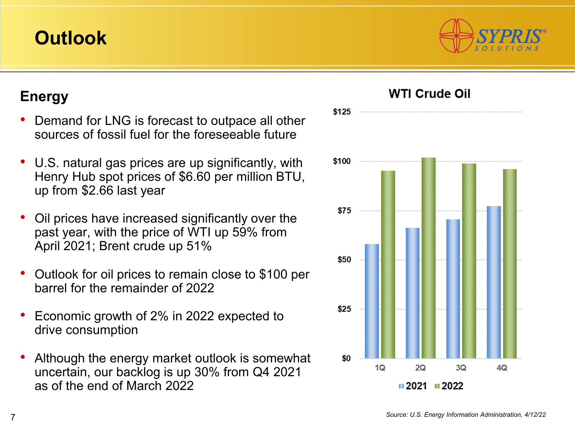#### **Energy**

- Demand for LNG is forecast to outpace all other sources of fossil fuel for the foreseeable future
- U.S. natural gas prices are up significantly, with Henry Hub spot prices of \$6.60 per million BTU, up from \$2.66 last year
- Oil prices have increased significantly over the past year, with the price of WTI up 59% from April 2021; Brent crude up 51%
- Outlook for oil prices to remain close to \$100 per barrel for the remainder of 2022
- Economic growth of 2% in 2022 expected to drive consumption
- Although the energy market outlook is somewhat uncertain, our backlog is up 30% from Q4 2021 as of the end of March 2022



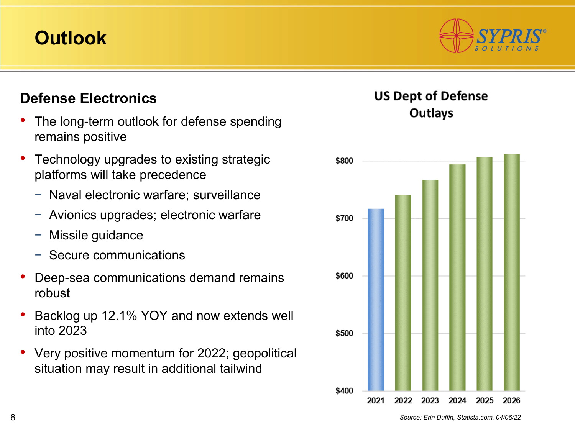#### **Defense Electronics**

- The long-term outlook for defense spending remains positive
- Technology upgrades to existing strategic platforms will take precedence
	- − Naval electronic warfare; surveillance
	- − Avionics upgrades; electronic warfare
	- − Missile guidance
	- − Secure communications
- Deep-sea communications demand remains robust
- Backlog up 12.1% YOY and now extends well into 2023
- Very positive momentum for 2022; geopolitical situation may result in additional tailwind

#### **US Dept of Defense Outlays**



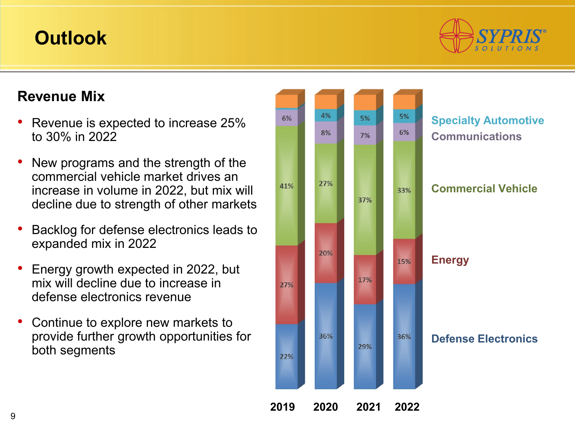

#### **Revenue Mix**

- Revenue is expected to increase 25% to 30% in 2022
- New programs and the strength of the commercial vehicle market drives an increase in volume in 2022, but mix will decline due to strength of other markets
- Backlog for defense electronics leads to expanded mix in 2022
- Energy growth expected in 2022, but mix will decline due to increase in defense electronics revenue
- Continue to explore new markets to provide further growth opportunities for both segments

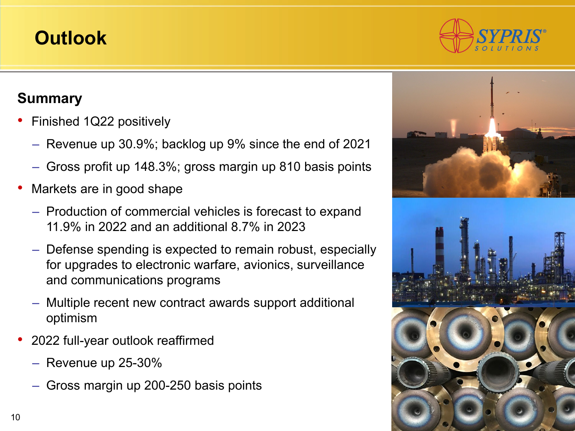#### **Summary**

- Finished 1Q22 positively
	- Revenue up 30.9%; backlog up 9% since the end of 2021
	- Gross profit up 148.3%; gross margin up 810 basis points
- Markets are in good shape
	- Production of commercial vehicles is forecast to expand 11.9% in 2022 and an additional 8.7% in 2023
	- Defense spending is expected to remain robust, especially for upgrades to electronic warfare, avionics, surveillance and communications programs
	- Multiple recent new contract awards support additional optimism
- 2022 full-year outlook reaffirmed
	- Revenue up 25-30%
	- Gross margin up 200-250 basis points



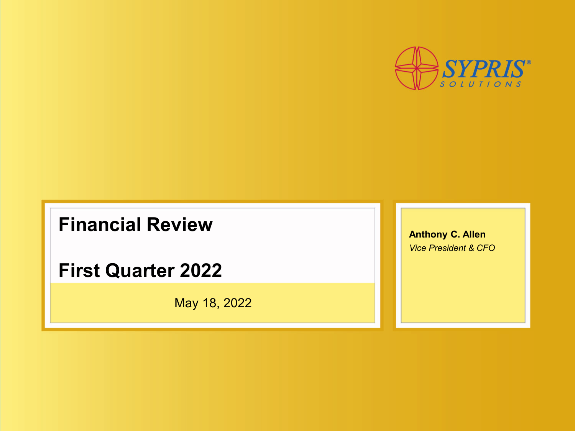

#### **Financial Review**

**First Quarter 2022**

May 18, 2022

**Anthony C. Allen** *Vice President & CFO*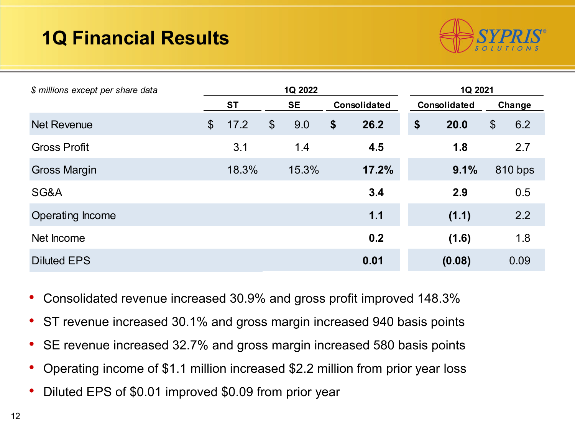# **1Q Financial Results**



| \$ millions except per share data | 1Q 2022               |       |                       |       |              |       | 1Q 2021           |        |                       |         |
|-----------------------------------|-----------------------|-------|-----------------------|-------|--------------|-------|-------------------|--------|-----------------------|---------|
|                                   | <b>ST</b>             |       | <b>SE</b>             |       | Consolidated |       | Consolidated      |        | Change                |         |
| <b>Net Revenue</b>                | $\boldsymbol{\theta}$ | 17.2  | $\boldsymbol{\theta}$ | 9.0   | \$           | 26.2  | $\boldsymbol{\$}$ | 20.0   | $\boldsymbol{\theta}$ | 6.2     |
| <b>Gross Profit</b>               |                       | 3.1   |                       | 1.4   |              | 4.5   |                   | 1.8    |                       | 2.7     |
| <b>Gross Margin</b>               |                       | 18.3% |                       | 15.3% |              | 17.2% |                   | 9.1%   |                       | 810 bps |
| SG&A                              |                       |       |                       |       |              | 3.4   |                   | 2.9    |                       | 0.5     |
| Operating Income                  |                       |       |                       |       |              | 1.1   |                   | (1.1)  |                       | 2.2     |
| Net Income                        |                       |       |                       |       |              | 0.2   |                   | (1.6)  |                       | 1.8     |
| <b>Diluted EPS</b>                |                       |       |                       |       |              | 0.01  |                   | (0.08) |                       | 0.09    |

- Consolidated revenue increased 30.9% and gross profit improved 148.3%
- ST revenue increased 30.1% and gross margin increased 940 basis points
- SE revenue increased 32.7% and gross margin increased 580 basis points
- Operating income of \$1.1 million increased \$2.2 million from prior year loss
- Diluted EPS of \$0.01 improved \$0.09 from prior year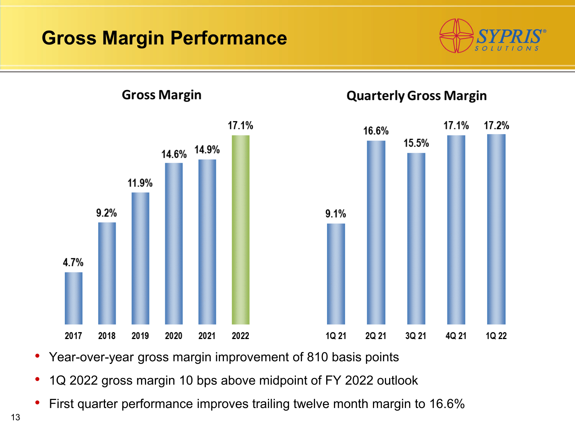### **Gross Margin Performance**





• Year-over-year gross margin improvement of 810 basis points

- 1Q 2022 gross margin 10 bps above midpoint of FY 2022 outlook
- First quarter performance improves trailing twelve month margin to 16.6%